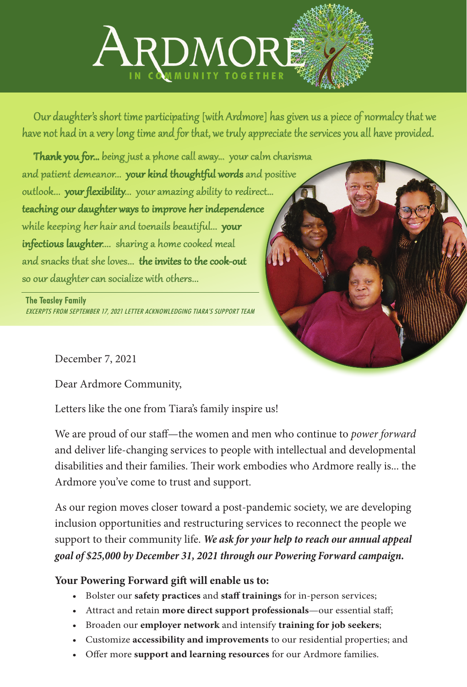

Our daughter's short time participating [with Ardmore] has given us a piece of normalcy that we have not had in a very long time and for that, we truly appreciate the services you all have provided.

Thank you for... being just a phone call away... your calm charisma and patient demeanor... your kind thoughtful words and positive outlook... your flexibility... your amazing ability to redirect... teaching our daughter ways to improve her independence while keeping her hair and toenails beautiful... your infectious laughter.... sharing a home cooked meal and snacks that she loves... the invites to the cook-out so our daughter can socialize with others...

## The Teasley Family

EXCERPTS FROM SEPTEMBER 17, 2021 LETTER ACKNOWLEDGING TIARA'S SUPPORT TEAM



December 7, 2021

Dear Ardmore Community,

Letters like the one from Tiara's family inspire us!

We are proud of our staff—the women and men who continue to *power forward* and deliver life-changing services to people with intellectual and developmental disabilities and their families. Their work embodies who Ardmore really is... the Ardmore you've come to trust and support.

As our region moves closer toward a post-pandemic society, we are developing inclusion opportunities and restructuring services to reconnect the people we support to their community life. *We ask for your help to reach our annual appeal goal of \$25,000 by December 31, 2021 through our Powering Forward campaign.*

## **Your Powering Forward gift will enable us to:**

- Bolster our **safety practices** and **staff trainings** for in-person services;
- Attract and retain **more direct support professionals**—our essential staff;
- Broaden our **employer network** and intensify **training for job seekers**;
- Customize **accessibility and improvements** to our residential properties; and
- Offer more **support and learning resources** for our Ardmore families.